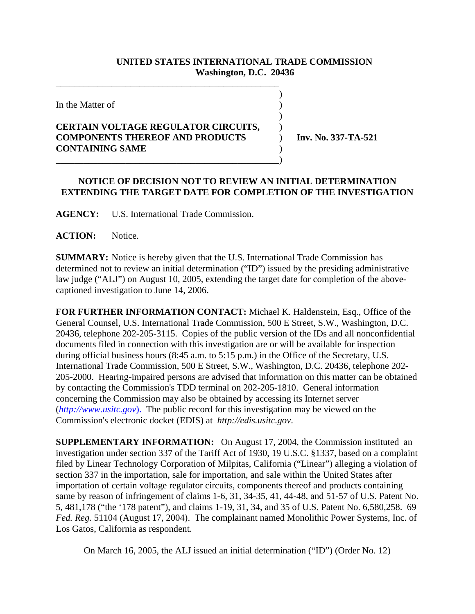## **UNITED STATES INTERNATIONAL TRADE COMMISSION Washington, D.C. 20436**

)

 $\overline{)}$ 

In the Matter of  $\hspace{1.5cm}$  )

## **CERTAIN VOLTAGE REGULATOR CIRCUITS,** ) **COMPONENTS THEREOF AND PRODUCTS** ) **Inv. No. 337-TA-521 CONTAINING SAME** ) \_\_\_\_\_\_\_\_\_\_\_\_\_\_\_\_\_\_\_\_\_\_\_\_\_\_\_\_\_\_\_\_\_\_\_\_\_\_\_\_\_\_\_\_\_\_\_\_)

\_\_\_\_\_\_\_\_\_\_\_\_\_\_\_\_\_\_\_\_\_\_\_\_\_\_\_\_\_\_\_\_\_\_\_\_\_\_\_\_\_\_\_\_\_\_\_\_

## **NOTICE OF DECISION NOT TO REVIEW AN INITIAL DETERMINATION EXTENDING THE TARGET DATE FOR COMPLETION OF THE INVESTIGATION**

**AGENCY:** U.S. International Trade Commission.

**ACTION:** Notice.

**SUMMARY:** Notice is hereby given that the U.S. International Trade Commission has determined not to review an initial determination ("ID") issued by the presiding administrative law judge ("ALJ") on August 10, 2005, extending the target date for completion of the abovecaptioned investigation to June 14, 2006.

**FOR FURTHER INFORMATION CONTACT:** Michael K. Haldenstein, Esq., Office of the General Counsel, U.S. International Trade Commission, 500 E Street, S.W., Washington, D.C. 20436, telephone 202-205-3115. Copies of the public version of the IDs and all nonconfidential documents filed in connection with this investigation are or will be available for inspection during official business hours (8:45 a.m. to 5:15 p.m.) in the Office of the Secretary, U.S. International Trade Commission, 500 E Street, S.W., Washington, D.C. 20436, telephone 202- 205-2000. Hearing-impaired persons are advised that information on this matter can be obtained by contacting the Commission's TDD terminal on 202-205-1810. General information concerning the Commission may also be obtained by accessing its Internet server (*http://www.usitc.gov*). The public record for this investigation may be viewed on the Commission's electronic docket (EDIS) at *http://edis.usitc.gov*.

**SUPPLEMENTARY INFORMATION:** On August 17, 2004, the Commission instituted an investigation under section 337 of the Tariff Act of 1930, 19 U.S.C. §1337, based on a complaint filed by Linear Technology Corporation of Milpitas, California ("Linear") alleging a violation of section 337 in the importation, sale for importation, and sale within the United States after importation of certain voltage regulator circuits, components thereof and products containing same by reason of infringement of claims 1-6, 31, 34-35, 41, 44-48, and 51-57 of U.S. Patent No. 5, 481,178 ("the '178 patent"), and claims 1-19, 31, 34, and 35 of U.S. Patent No. 6,580,258. 69 *Fed. Reg.* 51104 (August 17, 2004). The complainant named Monolithic Power Systems, Inc. of Los Gatos, California as respondent.

On March 16, 2005, the ALJ issued an initial determination ("ID") (Order No. 12)